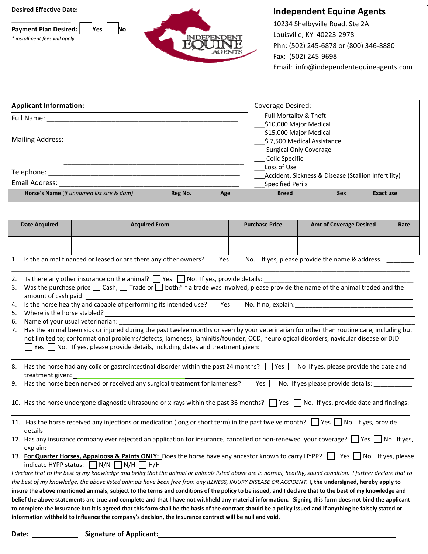







## **Independent Equine Agents**

10234 Shelbyville Road, Ste 2A Louisville, KY 40223‐2978 Phn: (502) 245‐6878 or (800) 346‐8880 Fax: (502) 245‐9698 Email: info@independentequineagents.com

| <b>Applicant Information:</b> |                                                                                                                                                                                                    |                                                                                                                                                                                                                               |         |                        |                       | Coverage Desired:                                                                                       |                        |                                |  |      |  |  |
|-------------------------------|----------------------------------------------------------------------------------------------------------------------------------------------------------------------------------------------------|-------------------------------------------------------------------------------------------------------------------------------------------------------------------------------------------------------------------------------|---------|------------------------|-----------------------|---------------------------------------------------------------------------------------------------------|------------------------|--------------------------------|--|------|--|--|
|                               |                                                                                                                                                                                                    | Full Name: Name and South Art and South Art and South Art and South Art and South Art and South Art and South Art and South Art and South Art and South Art and South Art and Art and Art and Art and Art and Art and Art and |         | Full Mortality & Theft |                       |                                                                                                         |                        |                                |  |      |  |  |
|                               |                                                                                                                                                                                                    |                                                                                                                                                                                                                               |         |                        |                       |                                                                                                         | \$10,000 Major Medical |                                |  |      |  |  |
|                               |                                                                                                                                                                                                    |                                                                                                                                                                                                                               |         |                        |                       | \$15,000 Major Medical<br>\$7,500 Medical Assistance<br><b>Surgical Only Coverage</b><br>Colic Specific |                        |                                |  |      |  |  |
|                               |                                                                                                                                                                                                    |                                                                                                                                                                                                                               |         |                        |                       |                                                                                                         |                        |                                |  |      |  |  |
|                               |                                                                                                                                                                                                    |                                                                                                                                                                                                                               |         |                        |                       |                                                                                                         |                        |                                |  |      |  |  |
|                               |                                                                                                                                                                                                    |                                                                                                                                                                                                                               |         |                        |                       | Loss of Use                                                                                             |                        |                                |  |      |  |  |
|                               |                                                                                                                                                                                                    |                                                                                                                                                                                                                               |         |                        |                       | Accident, Sickness & Disease (Stallion Infertility)                                                     |                        |                                |  |      |  |  |
|                               |                                                                                                                                                                                                    |                                                                                                                                                                                                                               |         |                        |                       | <b>Specified Perils</b>                                                                                 |                        |                                |  |      |  |  |
|                               |                                                                                                                                                                                                    | Horse's Name (if unnamed list sire & dam)                                                                                                                                                                                     | Reg No. | Age                    | <b>Breed</b>          |                                                                                                         | Sex                    | Exact use                      |  |      |  |  |
|                               |                                                                                                                                                                                                    |                                                                                                                                                                                                                               |         |                        |                       |                                                                                                         |                        |                                |  |      |  |  |
|                               | <b>Date Acquired</b>                                                                                                                                                                               | <b>Acquired From</b>                                                                                                                                                                                                          |         |                        |                       |                                                                                                         |                        |                                |  | Rate |  |  |
|                               |                                                                                                                                                                                                    |                                                                                                                                                                                                                               |         |                        | <b>Purchase Price</b> |                                                                                                         |                        | <b>Amt of Coverage Desired</b> |  |      |  |  |
|                               |                                                                                                                                                                                                    |                                                                                                                                                                                                                               |         |                        |                       |                                                                                                         |                        |                                |  |      |  |  |
|                               |                                                                                                                                                                                                    |                                                                                                                                                                                                                               |         |                        |                       |                                                                                                         |                        |                                |  |      |  |  |
| 1.                            |                                                                                                                                                                                                    | Is the animal financed or leased or are there any other owners? $\Box$ Yes $\Box$ No. If yes, please provide the name & address.                                                                                              |         |                        |                       |                                                                                                         |                        |                                |  |      |  |  |
| 2.                            |                                                                                                                                                                                                    | Is there any other insurance on the animal? $\Box$ Yes $\Box$ No. If yes, provide details: $\Box$                                                                                                                             |         |                        |                       |                                                                                                         |                        |                                |  |      |  |  |
| 3.                            |                                                                                                                                                                                                    | Was the purchase price $\Box$ Cash, $\Box$ Trade or $\Box$ both? If a trade was involved, please provide the name of the animal traded and the                                                                                |         |                        |                       |                                                                                                         |                        |                                |  |      |  |  |
|                               |                                                                                                                                                                                                    |                                                                                                                                                                                                                               |         |                        |                       |                                                                                                         |                        |                                |  |      |  |  |
| 4.                            |                                                                                                                                                                                                    | Is the horse healthy and capable of performing its intended use? $\Box$ Yes $\Box$ No. If no, explain: $\Box$                                                                                                                 |         |                        |                       |                                                                                                         |                        |                                |  |      |  |  |
| 5.                            |                                                                                                                                                                                                    |                                                                                                                                                                                                                               |         |                        |                       |                                                                                                         |                        |                                |  |      |  |  |
| 6.                            |                                                                                                                                                                                                    | Name of your usual veterinarian:                                                                                                                                                                                              |         |                        |                       |                                                                                                         |                        |                                |  |      |  |  |
| 7.                            |                                                                                                                                                                                                    | Has the animal been sick or injured during the past twelve months or seen by your veterinarian for other than routine care, including but                                                                                     |         |                        |                       |                                                                                                         |                        |                                |  |      |  |  |
|                               |                                                                                                                                                                                                    | not limited to; conformational problems/defects, lameness, laminitis/founder, OCD, neurological disorders, navicular disease or DJD                                                                                           |         |                        |                       |                                                                                                         |                        |                                |  |      |  |  |
|                               |                                                                                                                                                                                                    | $\Box$ Yes $\Box$ No. If yes, please provide details, including dates and treatment given: $\Box$                                                                                                                             |         |                        |                       |                                                                                                         |                        |                                |  |      |  |  |
|                               |                                                                                                                                                                                                    |                                                                                                                                                                                                                               |         |                        |                       |                                                                                                         |                        |                                |  |      |  |  |
| 8.                            |                                                                                                                                                                                                    | Has the horse had any colic or gastrointestinal disorder within the past 24 months? Since Sec. No If yes, please provide the date and                                                                                         |         |                        |                       |                                                                                                         |                        |                                |  |      |  |  |
|                               |                                                                                                                                                                                                    | 9. Has the horse been nerved or received any surgical treatment for lameness? T Yes T No. If yes please provide details:                                                                                                      |         |                        |                       |                                                                                                         |                        |                                |  |      |  |  |
|                               |                                                                                                                                                                                                    |                                                                                                                                                                                                                               |         |                        |                       |                                                                                                         |                        |                                |  |      |  |  |
|                               |                                                                                                                                                                                                    | 10. Has the horse undergone diagnostic ultrasound or x-rays within the past 36 months? Wes No. If yes, provide date and findings:                                                                                             |         |                        |                       |                                                                                                         |                        |                                |  |      |  |  |
|                               |                                                                                                                                                                                                    |                                                                                                                                                                                                                               |         |                        |                       |                                                                                                         |                        |                                |  |      |  |  |
|                               | details:                                                                                                                                                                                           | 11. Has the horse received any injections or medication (long or short term) in the past twelve month?     Yes   No. If yes, provide                                                                                          |         |                        |                       |                                                                                                         |                        |                                |  |      |  |  |
|                               |                                                                                                                                                                                                    | 12. Has any insurance company ever rejected an application for insurance, cancelled or non-renewed your coverage? □ Yes □ No. If yes,                                                                                         |         |                        |                       |                                                                                                         |                        |                                |  |      |  |  |
|                               | explain:                                                                                                                                                                                           |                                                                                                                                                                                                                               |         |                        |                       |                                                                                                         |                        |                                |  |      |  |  |
|                               | 13. For Quarter Horses, Appaloosa & Paints ONLY: Does the horse have any ancestor known to carry HYPP?<br>Yes $\vert$ No. If yes, please<br>indicate HYPP status: $\Box N/N$ $\Box N/H$ $\Box H/H$ |                                                                                                                                                                                                                               |         |                        |                       |                                                                                                         |                        |                                |  |      |  |  |
|                               |                                                                                                                                                                                                    | I declare that to the best of my knowledge and belief that the animal or animals listed above are in normal, healthy, sound condition. I further declare that to                                                              |         |                        |                       |                                                                                                         |                        |                                |  |      |  |  |
|                               |                                                                                                                                                                                                    | the best of my knowledge, the above listed animals have been free from any ILLNESS, INJURY DISEASE OR ACCIDENT. I, the undersigned, hereby apply to                                                                           |         |                        |                       |                                                                                                         |                        |                                |  |      |  |  |
|                               |                                                                                                                                                                                                    | insure the above mentioned animals, subject to the terms and conditions of the policy to be issued, and I declare that to the best of my knowledge and                                                                        |         |                        |                       |                                                                                                         |                        |                                |  |      |  |  |
|                               |                                                                                                                                                                                                    | belief the above statements are true and complete and that I have not withheld any material information. Signing this form does not bind the applicant                                                                        |         |                        |                       |                                                                                                         |                        |                                |  |      |  |  |
|                               |                                                                                                                                                                                                    | to complete the insurance but it is agreed that this form shall be the basis of the contract should be a policy issued and if anything be falsely stated or                                                                   |         |                        |                       |                                                                                                         |                        |                                |  |      |  |  |
|                               |                                                                                                                                                                                                    | information withheld to influence the company's decision, the insurance contract will be null and void.                                                                                                                       |         |                        |                       |                                                                                                         |                        |                                |  |      |  |  |

**Date: \_\_\_\_\_\_\_\_\_\_\_\_ Signature of Applicant:\_\_\_\_\_\_\_\_\_\_\_\_\_\_\_\_\_\_\_\_\_\_\_\_\_\_\_\_\_\_\_\_\_\_\_\_\_\_\_\_\_\_\_\_\_\_\_\_\_\_\_\_\_\_\_\_\_\_\_\_\_\_**